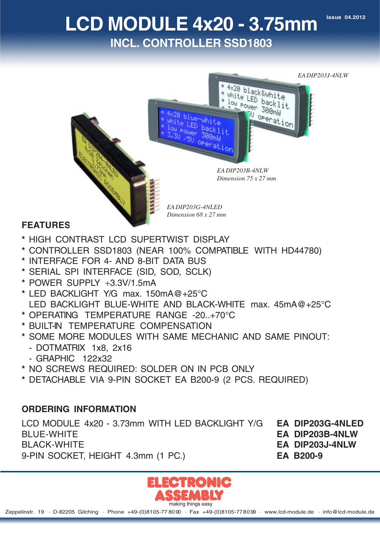#### **Issue 04.2012**

# **LCD MODULE 4x20 - 3.75mm INCL. CONTROLLER SSD1803**



### **FEATURES**

- **\*** HIGH CONTRAST LCD SUPERTWIST DISPLAY
- **\*** CONTROLLER SSD1803 (NEAR 100% COMPATIBLE WITH HD44780)
- **\*** INTERFACE FOR 4- AND 8-BIT DATA BUS
- **\*** SERIAL SPI INTERFACE (SID, SOD, SCLK)
- **\*** POWER SUPPLY +3.3V/1.5mA
- **\*** LED BACKLIGHT Y/G max. 150mA@+25°C LED BACKLIGHT BLUE-WHITE AND BLACK-WHITE max. 45mA@+25°C
- **\*** OPERATING TEMPERATURE RANGE -20..+70°C
- **\*** BUILT-IN TEMPERATURE COMPENSATION
- **\*** SOME MORE MODULES WITH SAME MECHANIC AND SAME PINOUT:
	- DOTMATRIX 1x8, 2x16
	- GRAPHIC 122x32
- **\*** NO SCREWS REQUIRED: SOLDER ON IN PCB ONLY
- **\*** DETACHABLE VIA 9-PIN SOCKET EA B200-9 (2 PCS. REQUIRED)

### **ORDERING INFORMATION**

LCD MODULE 4x20 - 3.73mm WITH LED BACKLIGHT Y/G **EA DIP203G-4NLED** BLUE-WHITE **EA DIP203B-4NLW** BLACK-WHITE **EA DIP203J-4NLW** 9-PIN SOCKET, HEIGHT 4.3mm (1 PC.) **EA B200-9**

- 
- 
- 

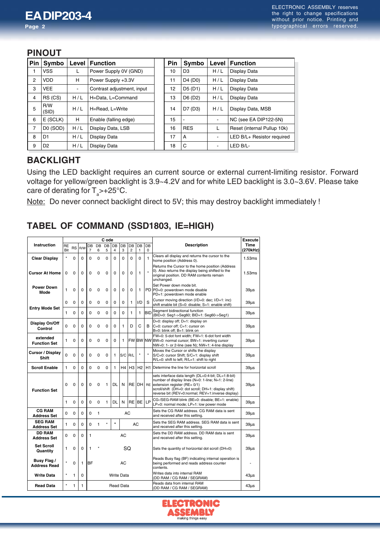#### **PINOUT**

| Pin | Symbo          | Level                    | <b>Function</b>            | Pin | Symbo                            | Level | <b>Function</b>             |
|-----|----------------|--------------------------|----------------------------|-----|----------------------------------|-------|-----------------------------|
| 1   | VSS            |                          | Power Supply 0V (GND)      | 10  | D <sub>3</sub>                   | H/L   | Display Data                |
| 2   | <b>VDD</b>     | н                        | Power Supply +3.3V         | 11  | D4 (D0)                          | H/L   | Display Data                |
| 3   | <b>VEE</b>     | $\overline{\phantom{a}}$ | Contrast adjustment, input | 12  | D <sub>5</sub> (D <sub>1</sub> ) | H/L   | Display Data                |
| 4   | RS (CS)        | H/L                      | H=Data, L=Command          | 13  | D6 (D2)                          | H/L   | Display Data                |
| 5   | R/W<br>(SID)   | H/L                      | H=Read. L=Write            | 14  | D7 (D3)                          | H/L   | Display Data, MSB           |
| 6   | $E$ (SCLK)     | н                        | Enable (falling edge)      | 15  |                                  | ٠     | NC (see EA DIP122-5N)       |
| 7   | DO (SOD)       | H/L                      | Display Data, LSB          | 16  | <b>RES</b>                       | L     | Reset (internal Pullup 10k) |
| 8   | D1             | H/L                      | Display Data               | 17  | A                                | ۰     | LED B/L+ Resistor required  |
| 9   | D <sub>2</sub> | H/L                      | Display Data               | 18  | C                                | ٠     | LED B/L-                    |

### **BACKLIGHT**

Using the LED backlight requires an current source or external current-limiting resistor. Forward voltage for yellow/green backlight is 3.9~4.2V and for white LED backlight is 3.0~3.6V. Please take care of derating for  $T_{\mathrm{a}}$ >+25°C.

Note: Do never connect backlight direct to 5V; this may destroy backlight immediately !

### **TABEL OF COMMAND (SSD1803, IE=HIGH)**

|                                      |                                      |                                                                                                                                                                                                   |                                                                                  |                                                                                                                 |                   | C ode    |          |                |                      |                 |                |                                                                                                                                                                                                                                                        | <b>Execute</b>          |
|--------------------------------------|--------------------------------------|---------------------------------------------------------------------------------------------------------------------------------------------------------------------------------------------------|----------------------------------------------------------------------------------|-----------------------------------------------------------------------------------------------------------------|-------------------|----------|----------|----------------|----------------------|-----------------|----------------|--------------------------------------------------------------------------------------------------------------------------------------------------------------------------------------------------------------------------------------------------------|-------------------------|
| <b>Instruction</b>                   | RE<br>Bit                            | <b>RS</b>                                                                                                                                                                                         | R/W                                                                              | DB<br>$\overline{7}$                                                                                            | DB<br>6           | DB<br>5  | DB<br>4  | <b>DB</b><br>3 | DB<br>$\overline{2}$ | DB<br>1         | DB<br>$\Omega$ | <b>Description</b>                                                                                                                                                                                                                                     | <b>Time</b><br>(270kHz) |
| <b>Clear Display</b>                 |                                      | $\Omega$                                                                                                                                                                                          | 0                                                                                | 0                                                                                                               | $\Omega$          | $\Omega$ | $\Omega$ | 0              | $\Omega$             | $\Omega$        | 1              | Clears all display and returns the cursor to the<br>home position (Address 0).                                                                                                                                                                         | 1.53ms                  |
| <b>Cursor At Home</b>                | 0                                    | $\Omega$                                                                                                                                                                                          | $\mathbf 0$                                                                      | 0                                                                                                               | $\mathbf 0$       | 0        | $\Omega$ | 0              | $\Omega$             | 1               | $\star$        | Returns the Cursor to the home position (Address<br>0). Also returns the display being shifted to the<br>original position. DD RAM contents remain<br>unchanged.                                                                                       | 1.53ms                  |
| <b>Power Down</b><br>Mode            | 1                                    | Set Power down mode bit.<br>$\mathbf 0$<br>$\mathbf 0$<br><b>PD</b><br>$\Omega$<br>0<br>0<br>0<br>0<br>$\mathbf 0$<br>$\mathbf{1}$<br>PD=0: powerdown mode disable<br>PD=1: powerdown mode enable |                                                                                  |                                                                                                                 | $39µ$ s           |          |          |                |                      |                 |                |                                                                                                                                                                                                                                                        |                         |
|                                      | $\Omega$                             | $\Omega$                                                                                                                                                                                          | 0                                                                                | 0                                                                                                               | 0                 | 0        | $\Omega$ | 0              | 1                    | I/D             | S              | Cursor moving direction (I/D=0: dec; I/D=1: inc)<br>shift enable bit (S=0: disable; S=1: enable shift)                                                                                                                                                 | $39\mu s$               |
| <b>Entry Mode Set</b>                | $\mathbf{1}$                         | $\mathbf 0$                                                                                                                                                                                       | 0                                                                                | 0                                                                                                               | 0                 | 0        | $\Omega$ | 0              | 1                    | 1               | <b>BID</b>     | Segment bidirectional function<br>(BID=0: Seg1->Seg60; BID=1: Seg60->Seg1)                                                                                                                                                                             | $39\mu s$               |
| Display On/Off<br>Control            | 0                                    | $\mathbf 0$                                                                                                                                                                                       | 0                                                                                | 0                                                                                                               | 0                 | 0        | $\Omega$ | 1              | D                    | C               | B              | D=0: display off; D=1: display on<br>C=0: cursor off; C=1: cursor on<br>B=0: blink off; B=1: blink on                                                                                                                                                  | $39µ$ s                 |
| extended<br><b>Function Set</b>      | 1                                    | 0                                                                                                                                                                                                 | 0                                                                                | 0                                                                                                               | 0                 | 0        | $\Omega$ | 1              |                      | <b>FW BW NW</b> |                | FW=0: 5-dot font width: FW=1: 6-dot font width<br>BW=0: normal cursor; BW=1: inverting cursor<br>NW=0: 1- or 2-line (see N); NW=1: 4-line display                                                                                                      | $39\mu s$               |
| <b>Cursor / Display</b><br>Shift     | $\Omega$                             | $\Omega$                                                                                                                                                                                          | $\Omega$                                                                         | 0                                                                                                               | $\Omega$          | $\Omega$ | 1        | S/C R/L        |                      | $\star$         |                | Moves the Cursor or shifts the display<br>S/C=0: cursor Shift; S/C=1: display shift<br>R/L=0: shift to left; R/L=1: shift to right                                                                                                                     | $39µ$ s                 |
| <b>Scroll Enable</b>                 | 1                                    | $\mathbf 0$                                                                                                                                                                                       | 0                                                                                | 0                                                                                                               | 0                 | 0        | 1        | H4             | H <sub>3</sub>       | H <sub>2</sub>  | H1             | Determine the line for horizontal scroll                                                                                                                                                                                                               | $39µ$ s                 |
| <b>Function Set</b>                  | $\Omega$                             | $\Omega$                                                                                                                                                                                          | $\Omega$                                                                         | $\Omega$                                                                                                        | $\Omega$          | 1        | DL       | N              |                      | RE DH           | <b>RE</b>      | sets interface data length (DL=0:4-bit; DL=1:8-bit)<br>number of display lines (N=0: 1-line; N=1: 2-line)<br>extension register (RE= 0/1)<br>scroll/shift (DH=0: dot scroll; DH=1: display shift)<br>reverse bit (REV=0:normal; REV=1:inverse display) | $39\mu s$               |
|                                      | $\mathbf{1}$                         | $\mathbf 0$                                                                                                                                                                                       | 0                                                                                | 0                                                                                                               | 0                 | 1        | DL       | N              | RE                   | <b>BE LP</b>    |                | CG-/SEG-RAM blink (BE=0: disable; BE=1: enable)<br>LP=0: normal mode; LP=1: low power mode                                                                                                                                                             | $39\mu s$               |
| <b>CG RAM</b><br><b>Address Set</b>  | $\Omega$                             | $\Omega$                                                                                                                                                                                          | 0                                                                                | 0                                                                                                               | 1                 |          |          | AC             |                      |                 |                | Sets the CG RAM address. CG RAM data is sent<br>and received after this setting.                                                                                                                                                                       | $39\mu s$               |
| <b>SEG RAM</b><br><b>Address Set</b> | 1                                    | $\Omega$                                                                                                                                                                                          | $\Omega$                                                                         | 0                                                                                                               | 1                 | $\star$  | $\star$  |                | AC                   |                 |                | Sets the SEG RAM address. SEG RAM data is sent<br>and received after this setting.                                                                                                                                                                     | $39\mu s$               |
| <b>DD RAM</b><br><b>Address Set</b>  | AC<br>0<br>1<br>0<br>$\Omega$        |                                                                                                                                                                                                   | Sets the DD RAM address. DD RAM data is sent<br>and received after this setting. | $39\mu s$                                                                                                       |                   |          |          |                |                      |                 |                |                                                                                                                                                                                                                                                        |                         |
| <b>Set Scroll</b><br>Quantity        | $\Omega$<br>SΟ<br>1<br>$\Omega$<br>1 |                                                                                                                                                                                                   | Sets the quantity of horizontal dot scroll (DH=0)                                | $39\mu s$                                                                                                       |                   |          |          |                |                      |                 |                |                                                                                                                                                                                                                                                        |                         |
| Busy Flag /<br><b>Address Read</b>   | BF<br>0<br>AC<br>1                   |                                                                                                                                                                                                   |                                                                                  | Reads Busy flag (BF) indicating internal operation is<br>being performed and reads address counter<br>contents. |                   |          |          |                |                      |                 |                |                                                                                                                                                                                                                                                        |                         |
| <b>Write Data</b>                    |                                      | 1                                                                                                                                                                                                 | $\Omega$                                                                         |                                                                                                                 | <b>Write Data</b> |          |          |                |                      |                 |                | Writes data into internal RAM<br>(DD RAM / CG RAM / SEGRAM)                                                                                                                                                                                            | $43µ$ s                 |
| <b>Read Data</b>                     | $\star$                              | 1                                                                                                                                                                                                 | 1                                                                                | <b>Read Data</b>                                                                                                |                   |          |          |                |                      |                 |                | Reads data from internal RAM<br>$43\mus$<br>(DD RAM / CG RAM / SEGRAM)                                                                                                                                                                                 |                         |

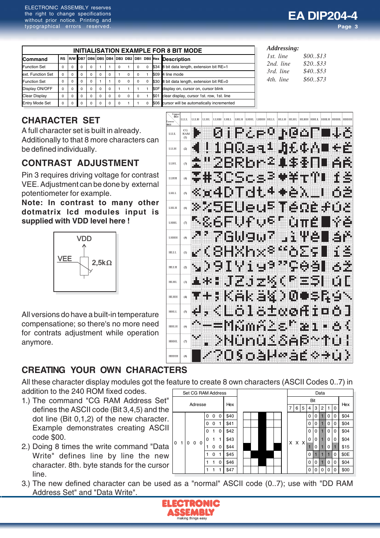## **EA DIP204-4**

**Page 3**

| <b>INITIALISATION EXAMPLE FOR 8 BIT MODE</b> |          |          |  |          |          |          |          |          |   |   |      | Addressing:                                            |           |          |
|----------------------------------------------|----------|----------|--|----------|----------|----------|----------|----------|---|---|------|--------------------------------------------------------|-----------|----------|
| <b>Command</b>                               |          |          |  |          |          |          |          |          |   |   |      | RS R/W DB7 DB6 DB5 DB4 DB3 DB2 DB1 DB0 Hex Description | 1st. line | \$00.513 |
| <b>Function Set</b>                          | $\Omega$ | $\Omega$ |  | $\Omega$ |          |          |          |          | 0 |   |      | \$34 8 bit data length, extension bit RE=1             | 2nd. line | \$20\$33 |
| ext. Function Set                            | $\Omega$ | $\Omega$ |  | $\Omega$ | $\Omega$ | $\Omega$ |          | $\Omega$ |   |   |      | \$09 4 line mode                                       | 3rd. line | \$40\$53 |
| <b>Function Set</b>                          | $\Omega$ | $\Omega$ |  | $\Omega$ |          |          |          | $\Omega$ |   |   |      | \$30 8 bit data length, extension bit RE=0             | 4th. line | \$60\$73 |
| Display ON/OFF                               | $\Omega$ | $\Omega$ |  | $\Omega$ | $\Omega$ | 0        |          |          |   |   |      | \$0F display on, cursor on, cursor blink               |           |          |
| <b>Clear Display</b>                         | $\Omega$ | $\Omega$ |  | $\Omega$ | $\Omega$ | $\Omega$ | 0        | $\Omega$ |   |   | \$01 | clear display, cursor 1st. row, 1st. line              |           |          |
| <b>Entry Mode Set</b>                        | $\Omega$ | $\Omega$ |  | $\Omega$ | $\Omega$ | $\Omega$ | $\Omega$ |          |   | 0 |      | \$06 cursor will be automatically incremented          |           |          |

Uppe<br>4bit

### **CHARACTER SET**

A full character set is built in already. Additionally to that 8 more characters can be defined individually.

### **CONTRAST ADJUSTMENT**

Pin 3 requires driving voltage for contrast VEE. Adjustment can be done by external potentiometer for example.

**Note: In contrast to many other dotmatrix lcd modules input is supplied with VDD level here !**



All versions do have a built-in temperature compensatione; so there's no more need for contrats adjustment while operation anymore.



### **CREATING YOUR OWN CHARACTERS**

All these character display modules got the feature to create 8 own characters (ASCII Codes 0..7) in addition to the 240 ROM fixed codes.

- 1.) The command "CG RAM Address Set" defines the ASCII code (Bit 3,4,5) and the dot line (Bit 0,1,2) of the new character. Example demonstrates creating ASCII code \$00.
- 2.) Doing 8 times the write command "Data Write" defines line by line the new character. 8th. byte stands for the cursor line.



3.) The new defined character can be used as a "normal" ASCII code (0..7); use with "DD RAM Address Set" and "Data Write".